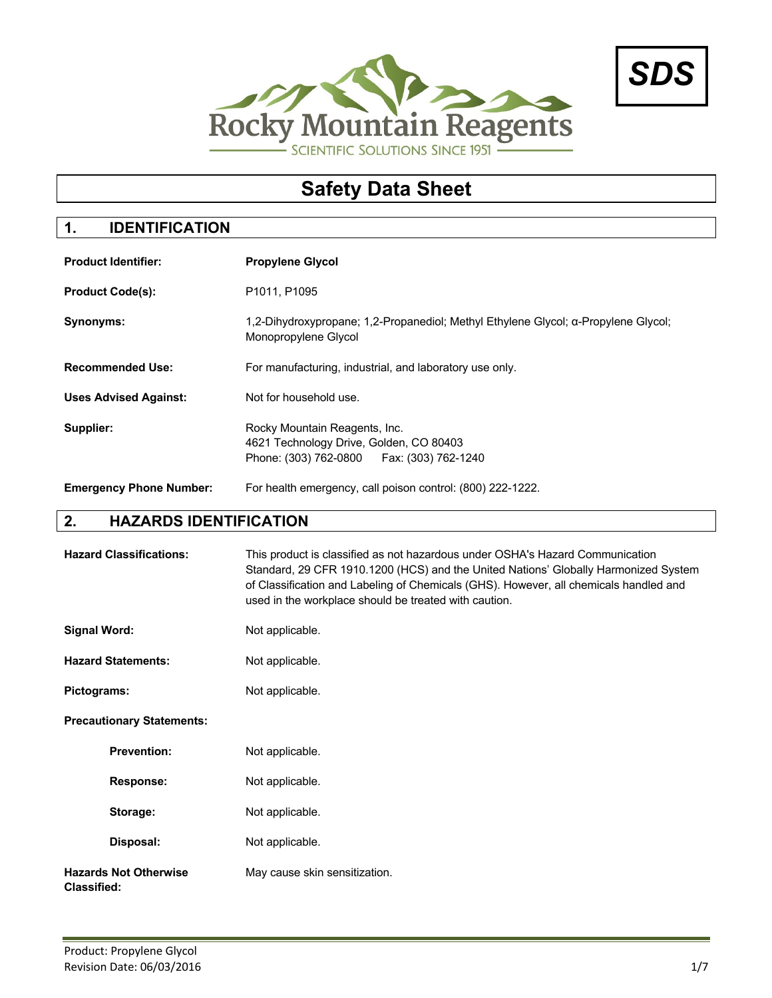



# **Safety Data Sheet**

# **1. IDENTIFICATION**

| <b>Product Identifier:</b>     | <b>Propylene Glycol</b>                                                                                                  |  |
|--------------------------------|--------------------------------------------------------------------------------------------------------------------------|--|
| <b>Product Code(s):</b>        | P1011, P1095                                                                                                             |  |
| Synonyms:                      | 1.2-Dihydroxypropane: 1.2-Propanediol: Methyl Ethylene Glycol: α-Propylene Glycol:<br>Monopropylene Glycol               |  |
| <b>Recommended Use:</b>        | For manufacturing, industrial, and laboratory use only.                                                                  |  |
| <b>Uses Advised Against:</b>   | Not for household use.                                                                                                   |  |
| Supplier:                      | Rocky Mountain Reagents, Inc.<br>4621 Technology Drive, Golden, CO 80403<br>Phone: (303) 762-0800<br>Fax: (303) 762-1240 |  |
| <b>Emergency Phone Number:</b> | For health emergency, call poison control: (800) 222-1222.                                                               |  |

#### **2. HAZARDS IDENTIFICATION**

|                     | <b>Hazard Classifications:</b>   | This product is classified as not hazardous under OSHA's Hazard Communication<br>Standard, 29 CFR 1910.1200 (HCS) and the United Nations' Globally Harmonized System<br>of Classification and Labeling of Chemicals (GHS). However, all chemicals handled and<br>used in the workplace should be treated with caution. |
|---------------------|----------------------------------|------------------------------------------------------------------------------------------------------------------------------------------------------------------------------------------------------------------------------------------------------------------------------------------------------------------------|
| <b>Signal Word:</b> |                                  | Not applicable.                                                                                                                                                                                                                                                                                                        |
|                     | <b>Hazard Statements:</b>        | Not applicable.                                                                                                                                                                                                                                                                                                        |
| Pictograms:         |                                  | Not applicable.                                                                                                                                                                                                                                                                                                        |
|                     | <b>Precautionary Statements:</b> |                                                                                                                                                                                                                                                                                                                        |
|                     | <b>Prevention:</b>               | Not applicable.                                                                                                                                                                                                                                                                                                        |
|                     | <b>Response:</b>                 | Not applicable.                                                                                                                                                                                                                                                                                                        |
|                     | Storage:                         | Not applicable.                                                                                                                                                                                                                                                                                                        |
|                     | Disposal:                        | Not applicable.                                                                                                                                                                                                                                                                                                        |
| <b>Classified:</b>  | <b>Hazards Not Otherwise</b>     | May cause skin sensitization.                                                                                                                                                                                                                                                                                          |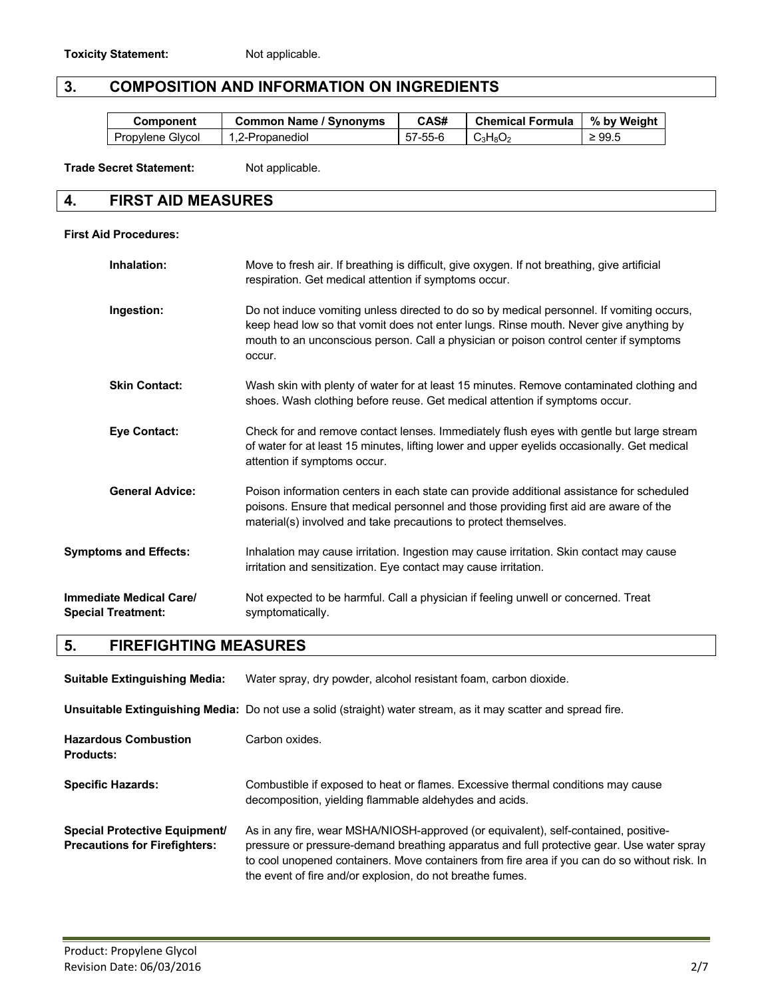### **3. COMPOSITION AND INFORMATION ON INGREDIENTS**

| Component        | <b>Common Name / Synonyms</b> | CAS#    | Chemical Formula   % by Weight                       |             |
|------------------|-------------------------------|---------|------------------------------------------------------|-------------|
| Propylene Glycol | 1,2-Propanediol               | 57-55-6 | $\cdot$ C <sub>3</sub> H <sub>8</sub> O <sub>2</sub> | $\geq 99.5$ |

**Trade Secret Statement:** Not applicable.

#### **4. FIRST AID MEASURES**

#### **First Aid Procedures:**

| Inhalation:                                          | Move to fresh air. If breathing is difficult, give oxygen. If not breathing, give artificial<br>respiration. Get medical attention if symptoms occur.                                                                                                                                 |
|------------------------------------------------------|---------------------------------------------------------------------------------------------------------------------------------------------------------------------------------------------------------------------------------------------------------------------------------------|
| Ingestion:                                           | Do not induce vomiting unless directed to do so by medical personnel. If vomiting occurs,<br>keep head low so that vomit does not enter lungs. Rinse mouth. Never give anything by<br>mouth to an unconscious person. Call a physician or poison control center if symptoms<br>occur. |
| <b>Skin Contact:</b>                                 | Wash skin with plenty of water for at least 15 minutes. Remove contaminated clothing and<br>shoes. Wash clothing before reuse. Get medical attention if symptoms occur.                                                                                                               |
| <b>Eye Contact:</b>                                  | Check for and remove contact lenses. Immediately flush eyes with gentle but large stream<br>of water for at least 15 minutes, lifting lower and upper eyelids occasionally. Get medical<br>attention if symptoms occur.                                                               |
| <b>General Advice:</b>                               | Poison information centers in each state can provide additional assistance for scheduled<br>poisons. Ensure that medical personnel and those providing first aid are aware of the<br>material(s) involved and take precautions to protect themselves.                                 |
| <b>Symptoms and Effects:</b>                         | Inhalation may cause irritation. Ingestion may cause irritation. Skin contact may cause<br>irritation and sensitization. Eye contact may cause irritation.                                                                                                                            |
| Immediate Medical Care/<br><b>Special Treatment:</b> | Not expected to be harmful. Call a physician if feeling unwell or concerned. Treat<br>symptomatically.                                                                                                                                                                                |

## **5. FIREFIGHTING MEASURES**

| <b>Suitable Extinguishing Media:</b>                                         | Water spray, dry powder, alcohol resistant foam, carbon dioxide.                                                                                                                                                                                                                                                                               |
|------------------------------------------------------------------------------|------------------------------------------------------------------------------------------------------------------------------------------------------------------------------------------------------------------------------------------------------------------------------------------------------------------------------------------------|
|                                                                              | Unsuitable Extinguishing Media: Do not use a solid (straight) water stream, as it may scatter and spread fire.                                                                                                                                                                                                                                 |
| <b>Hazardous Combustion</b><br><b>Products:</b>                              | Carbon oxides.                                                                                                                                                                                                                                                                                                                                 |
| <b>Specific Hazards:</b>                                                     | Combustible if exposed to heat or flames. Excessive thermal conditions may cause<br>decomposition, yielding flammable aldehydes and acids.                                                                                                                                                                                                     |
| <b>Special Protective Equipment/</b><br><b>Precautions for Firefighters:</b> | As in any fire, wear MSHA/NIOSH-approved (or equivalent), self-contained, positive-<br>pressure or pressure-demand breathing apparatus and full protective gear. Use water spray<br>to cool unopened containers. Move containers from fire area if you can do so without risk. In<br>the event of fire and/or explosion, do not breathe fumes. |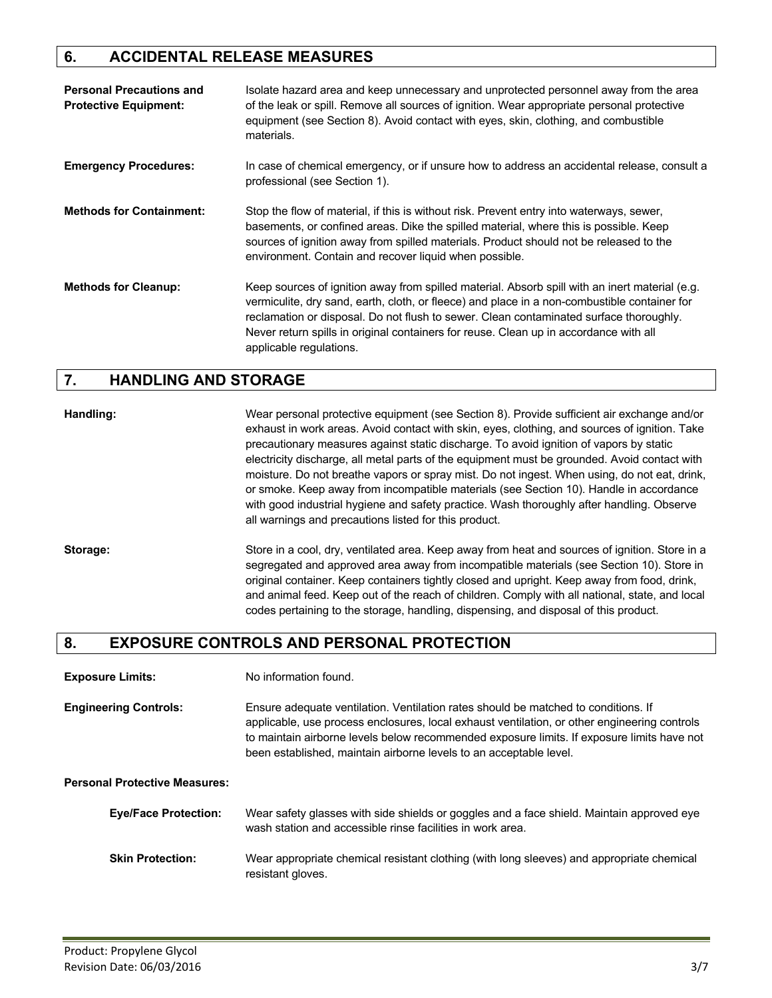### **6. ACCIDENTAL RELEASE MEASURES**

| <b>Personal Precautions and</b><br><b>Protective Equipment:</b> | Isolate hazard area and keep unnecessary and unprotected personnel away from the area<br>of the leak or spill. Remove all sources of ignition. Wear appropriate personal protective<br>equipment (see Section 8). Avoid contact with eyes, skin, clothing, and combustible<br>materials.                                                                                                                     |
|-----------------------------------------------------------------|--------------------------------------------------------------------------------------------------------------------------------------------------------------------------------------------------------------------------------------------------------------------------------------------------------------------------------------------------------------------------------------------------------------|
| <b>Emergency Procedures:</b>                                    | In case of chemical emergency, or if unsure how to address an accidental release, consult a<br>professional (see Section 1).                                                                                                                                                                                                                                                                                 |
| <b>Methods for Containment:</b>                                 | Stop the flow of material, if this is without risk. Prevent entry into waterways, sewer,<br>basements, or confined areas. Dike the spilled material, where this is possible. Keep<br>sources of ignition away from spilled materials. Product should not be released to the<br>environment. Contain and recover liquid when possible.                                                                        |
| <b>Methods for Cleanup:</b>                                     | Keep sources of ignition away from spilled material. Absorb spill with an inert material (e.g.<br>vermiculite, dry sand, earth, cloth, or fleece) and place in a non-combustible container for<br>reclamation or disposal. Do not flush to sewer. Clean contaminated surface thoroughly.<br>Never return spills in original containers for reuse. Clean up in accordance with all<br>applicable regulations. |

#### **7. HANDLING AND STORAGE**

**Handling:** Wear personal protective equipment (see Section 8). Provide sufficient air exchange and/or exhaust in work areas. Avoid contact with skin, eyes, clothing, and sources of ignition. Take precautionary measures against static discharge. To avoid ignition of vapors by static electricity discharge, all metal parts of the equipment must be grounded. Avoid contact with moisture. Do not breathe vapors or spray mist. Do not ingest. When using, do not eat, drink, or smoke. Keep away from incompatible materials (see Section 10). Handle in accordance with good industrial hygiene and safety practice. Wash thoroughly after handling. Observe all warnings and precautions listed for this product.

Storage: Store in a cool, dry, ventilated area. Keep away from heat and sources of ignition. Store in a segregated and approved area away from incompatible materials (see Section 10). Store in original container. Keep containers tightly closed and upright. Keep away from food, drink, and animal feed. Keep out of the reach of children. Comply with all national, state, and local codes pertaining to the storage, handling, dispensing, and disposal of this product.

#### **8. EXPOSURE CONTROLS AND PERSONAL PROTECTION**

**Exposure Limits:** No information found.

**Engineering Controls:** Ensure adequate ventilation. Ventilation rates should be matched to conditions. If applicable, use process enclosures, local exhaust ventilation, or other engineering controls to maintain airborne levels below recommended exposure limits. If exposure limits have not been established, maintain airborne levels to an acceptable level.

**Personal Protective Measures:**

| <b>Eye/Face Protection:</b> | Wear safety glasses with side shields or goggles and a face shield. Maintain approved eye |
|-----------------------------|-------------------------------------------------------------------------------------------|
|                             | wash station and accessible rinse facilities in work area.                                |
|                             |                                                                                           |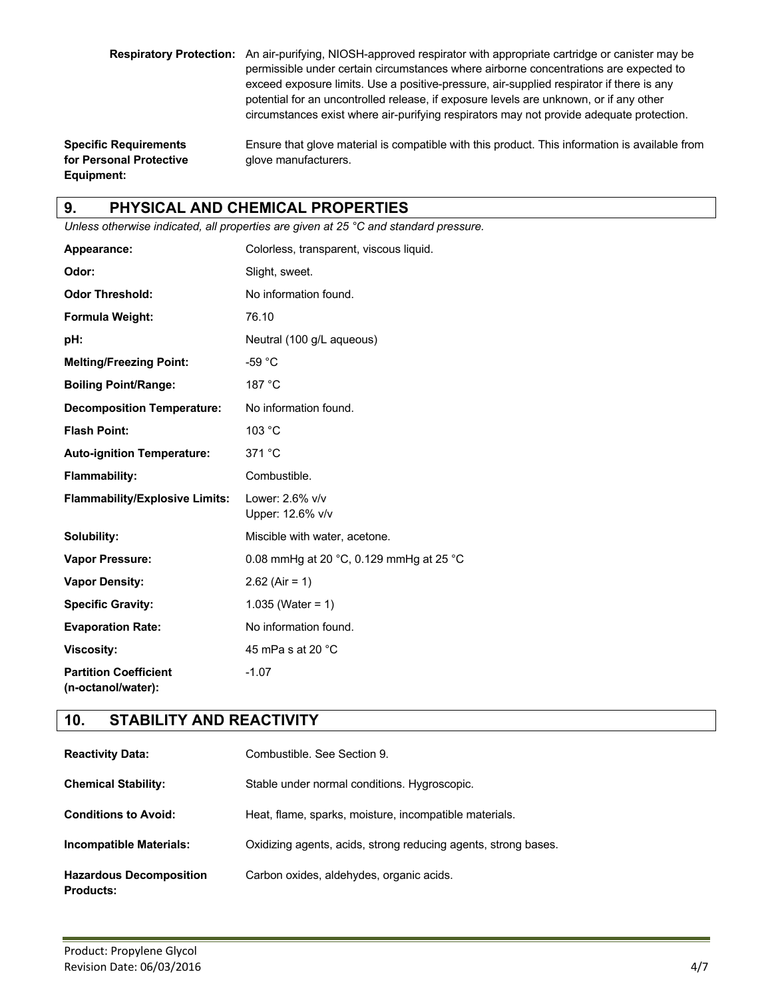**Respiratory Protection:** An air-purifying, NIOSH-approved respirator with appropriate cartridge or canister may be permissible under certain circumstances where airborne concentrations are expected to exceed exposure limits. Use a positive-pressure, air-supplied respirator if there is any potential for an uncontrolled release, if exposure levels are unknown, or if any other circumstances exist where air-purifying respirators may not provide adequate protection.

**for Personal Protective glove manufacturers. Equipment:**

**Specific Requirements** Ensure that glove material is compatible with this product. This information is available from

# **9. PHYSICAL AND CHEMICAL PROPERTIES**

*Unless otherwise indicated, all properties are given at 25 °C and standard pressure.*

| Appearance:                                        | Colorless, transparent, viscous liquid. |
|----------------------------------------------------|-----------------------------------------|
| Odor:                                              | Slight, sweet.                          |
| <b>Odor Threshold:</b>                             | No information found.                   |
| Formula Weight:                                    | 76.10                                   |
| pH:                                                | Neutral (100 g/L aqueous)               |
| <b>Melting/Freezing Point:</b>                     | $-59 °C$                                |
| <b>Boiling Point/Range:</b>                        | 187 °C                                  |
| <b>Decomposition Temperature:</b>                  | No information found.                   |
| <b>Flash Point:</b>                                | 103 °C                                  |
| <b>Auto-ignition Temperature:</b>                  | 371 °C                                  |
| <b>Flammability:</b>                               | Combustible.                            |
| <b>Flammability/Explosive Limits:</b>              | Lower: 2.6% v/v<br>Upper: 12.6% v/v     |
| Solubility:                                        | Miscible with water, acetone.           |
| <b>Vapor Pressure:</b>                             | 0.08 mmHg at 20 °C, 0.129 mmHg at 25 °C |
| <b>Vapor Density:</b>                              | $2.62$ (Air = 1)                        |
| <b>Specific Gravity:</b>                           | 1.035 (Water = 1)                       |
| <b>Evaporation Rate:</b>                           | No information found.                   |
| <b>Viscosity:</b>                                  | 45 mPa s at 20 $\degree$ C              |
| <b>Partition Coefficient</b><br>(n-octanol/water): | $-1.07$                                 |

### **10. STABILITY AND REACTIVITY**

| <b>Reactivity Data:</b>                            | Combustible, See Section 9.                                    |
|----------------------------------------------------|----------------------------------------------------------------|
| <b>Chemical Stability:</b>                         | Stable under normal conditions. Hygroscopic.                   |
| <b>Conditions to Avoid:</b>                        | Heat, flame, sparks, moisture, incompatible materials.         |
| Incompatible Materials:                            | Oxidizing agents, acids, strong reducing agents, strong bases. |
| <b>Hazardous Decomposition</b><br><b>Products:</b> | Carbon oxides, aldehydes, organic acids.                       |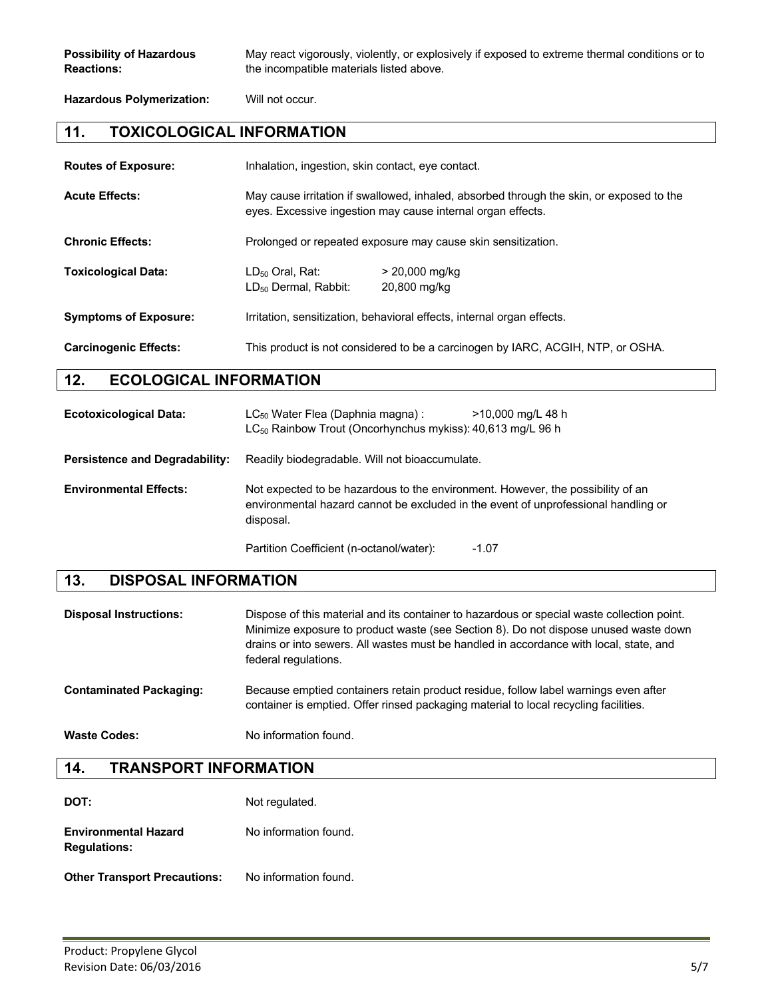**Possibility of Hazardous** May react vigorously, violently, or explosively if exposed to extreme thermal conditions or to **Reactions:** the incompatible materials listed above.

**Hazardous Polymerization:** Will not occur.

#### **11. TOXICOLOGICAL INFORMATION**

| <b>Routes of Exposure:</b>   | Inhalation, ingestion, skin contact, eye contact.                                                                                                       |                                  |
|------------------------------|---------------------------------------------------------------------------------------------------------------------------------------------------------|----------------------------------|
| <b>Acute Effects:</b>        | May cause irritation if swallowed, inhaled, absorbed through the skin, or exposed to the<br>eyes. Excessive ingestion may cause internal organ effects. |                                  |
| <b>Chronic Effects:</b>      | Prolonged or repeated exposure may cause skin sensitization.                                                                                            |                                  |
| <b>Toxicological Data:</b>   | $LD_{50}$ Oral, Rat:<br>LD <sub>50</sub> Dermal, Rabbit:                                                                                                | $> 20,000$ mg/kg<br>20,800 mg/kg |
| <b>Symptoms of Exposure:</b> | Irritation, sensitization, behavioral effects, internal organ effects.                                                                                  |                                  |
| <b>Carcinogenic Effects:</b> | This product is not considered to be a carcinogen by IARC, ACGIH, NTP, or OSHA.                                                                         |                                  |

### **12. ECOLOGICAL INFORMATION**

| <b>Ecotoxicological Data:</b>         | $LC_{50}$ Water Flea (Daphnia magna):<br>>10,000 mg/L 48 h<br>LC <sub>50</sub> Rainbow Trout (Oncorhynchus mykiss): 40,613 mg/L 96 h                                               |  |
|---------------------------------------|------------------------------------------------------------------------------------------------------------------------------------------------------------------------------------|--|
| <b>Persistence and Degradability:</b> | Readily biodegradable. Will not bioaccumulate.                                                                                                                                     |  |
| <b>Environmental Effects:</b>         | Not expected to be hazardous to the environment. However, the possibility of an<br>environmental hazard cannot be excluded in the event of unprofessional handling or<br>disposal. |  |
|                                       | Partition Coefficient (n-octanol/water):<br>$-1.07$                                                                                                                                |  |

#### **13. DISPOSAL INFORMATION**

| <b>Disposal Instructions:</b>  | Dispose of this material and its container to hazardous or special waste collection point.<br>Minimize exposure to product waste (see Section 8). Do not dispose unused waste down<br>drains or into sewers. All wastes must be handled in accordance with local, state, and<br>federal regulations. |
|--------------------------------|------------------------------------------------------------------------------------------------------------------------------------------------------------------------------------------------------------------------------------------------------------------------------------------------------|
| <b>Contaminated Packaging:</b> | Because emptied containers retain product residue, follow label warnings even after<br>container is emptied. Offer rinsed packaging material to local recycling facilities.                                                                                                                          |

Waste Codes: No information found.

| <b>TRANSPORT INFORMATION</b><br>14. |  |  |
|-------------------------------------|--|--|
|-------------------------------------|--|--|

| DOT:                                               | Not regulated.        |
|----------------------------------------------------|-----------------------|
| <b>Environmental Hazard</b><br><b>Regulations:</b> | No information found. |
|                                                    |                       |

**Other Transport Precautions:** No information found.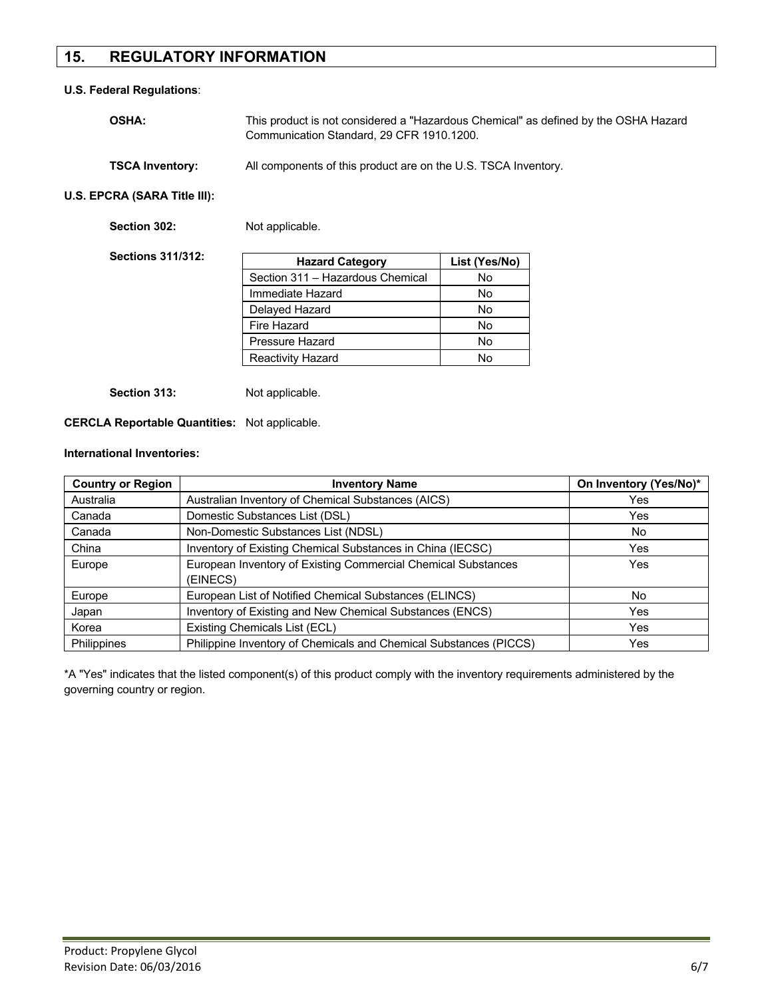### **15. REGULATORY INFORMATION**

#### **U.S. Federal Regulations**:

| <b>OSHA:</b>           | This product is not considered a "Hazardous Chemical" as defined by the OSHA Hazard<br>Communication Standard, 29 CFR 1910, 1200. |
|------------------------|-----------------------------------------------------------------------------------------------------------------------------------|
| <b>TSCA Inventory:</b> | All components of this product are on the U.S. TSCA Inventory.                                                                    |

**U.S. EPCRA (SARA Title III):**

Section 302: Not applicable.

| <b>Sections 311/312:</b> | <b>Hazard Category</b>           | List (Yes/No) |
|--------------------------|----------------------------------|---------------|
|                          | Section 311 - Hazardous Chemical | No            |
|                          | Immediate Hazard                 | <b>No</b>     |
|                          | Delayed Hazard                   | <b>No</b>     |
|                          | Fire Hazard                      | No            |
|                          | <b>Pressure Hazard</b>           | No            |
|                          | <b>Reactivity Hazard</b>         | No            |

Section 313: Not applicable.

#### **CERCLA Reportable Quantities:** Not applicable.

#### **International Inventories:**

| <b>Country or Region</b> | <b>Inventory Name</b>                                                     | On Inventory (Yes/No)* |
|--------------------------|---------------------------------------------------------------------------|------------------------|
| Australia                | Australian Inventory of Chemical Substances (AICS)                        | Yes                    |
| Canada                   | Domestic Substances List (DSL)                                            | Yes                    |
| Canada                   | Non-Domestic Substances List (NDSL)                                       | No.                    |
| China                    | Inventory of Existing Chemical Substances in China (IECSC)                | Yes                    |
| Europe                   | European Inventory of Existing Commercial Chemical Substances<br>(EINECS) | Yes                    |
| Europe                   | European List of Notified Chemical Substances (ELINCS)                    | No.                    |
| Japan                    | Inventory of Existing and New Chemical Substances (ENCS)                  | Yes                    |
| Korea                    | Existing Chemicals List (ECL)                                             | Yes                    |
| <b>Philippines</b>       | Philippine Inventory of Chemicals and Chemical Substances (PICCS)         | Yes                    |

\*A "Yes" indicates that the listed component(s) of this product comply with the inventory requirements administered by the governing country or region.